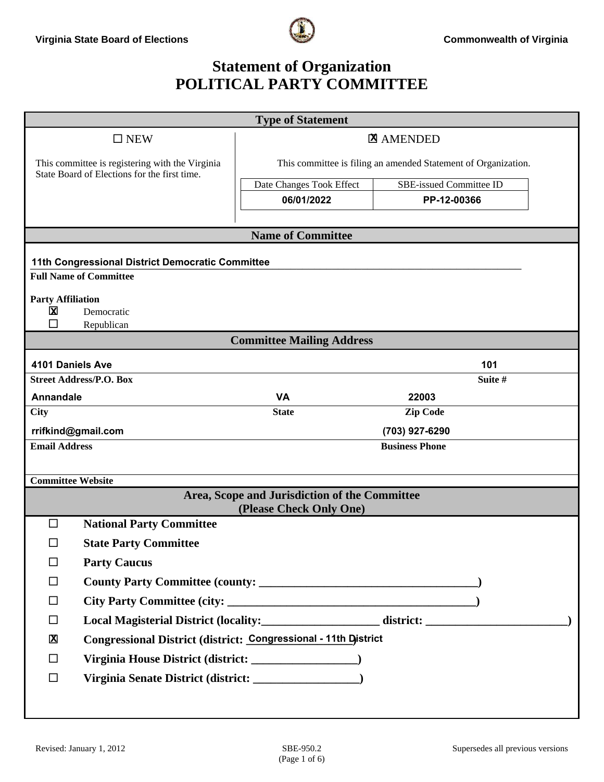

### **Statement of Organization POLITICAL PARTY COMMITTEE**

|                          |                                                                                                 | <b>Type of Statement</b>                                       |                                |  |  |
|--------------------------|-------------------------------------------------------------------------------------------------|----------------------------------------------------------------|--------------------------------|--|--|
| $\square$ NEW            |                                                                                                 |                                                                | <b>Z</b> AMENDED               |  |  |
|                          | This committee is registering with the Virginia<br>State Board of Elections for the first time. | This committee is filing an amended Statement of Organization. |                                |  |  |
|                          |                                                                                                 | Date Changes Took Effect                                       | <b>SBE-issued Committee ID</b> |  |  |
|                          |                                                                                                 | 06/01/2022                                                     | PP-12-00366                    |  |  |
|                          |                                                                                                 | <b>Name of Committee</b>                                       |                                |  |  |
|                          |                                                                                                 |                                                                |                                |  |  |
|                          | 11th Congressional District Democratic Committee                                                |                                                                |                                |  |  |
|                          | <b>Full Name of Committee</b>                                                                   |                                                                |                                |  |  |
| <b>Party Affiliation</b> |                                                                                                 |                                                                |                                |  |  |
| $\mathbf X$<br>П         | Democratic<br>Republican                                                                        |                                                                |                                |  |  |
|                          |                                                                                                 | <b>Committee Mailing Address</b>                               |                                |  |  |
| 4101 Daniels Ave<br>101  |                                                                                                 |                                                                |                                |  |  |
|                          | <b>Street Address/P.O. Box</b>                                                                  |                                                                | Suite #                        |  |  |
| Annandale                |                                                                                                 | <b>VA</b>                                                      | 22003                          |  |  |
| <b>City</b>              |                                                                                                 | <b>State</b>                                                   | <b>Zip Code</b>                |  |  |
| rrifkind@gmail.com       |                                                                                                 | (703) 927-6290                                                 |                                |  |  |
| <b>Email Address</b>     |                                                                                                 |                                                                |                                |  |  |
|                          |                                                                                                 |                                                                |                                |  |  |
|                          |                                                                                                 |                                                                |                                |  |  |
|                          |                                                                                                 | (Please Check Only One)                                        |                                |  |  |
| □                        |                                                                                                 |                                                                |                                |  |  |
| □                        | <b>State Party Committee</b>                                                                    |                                                                |                                |  |  |
| $\Box$                   | <b>Party Caucus</b>                                                                             |                                                                |                                |  |  |
| □                        |                                                                                                 |                                                                |                                |  |  |
| $\Box$                   |                                                                                                 |                                                                |                                |  |  |
| $\Box$                   |                                                                                                 |                                                                |                                |  |  |
| $\mathbf{X}$             | Congressional District (district: Congressional - 11th District                                 |                                                                |                                |  |  |
| $\Box$                   |                                                                                                 |                                                                |                                |  |  |
| $\Box$                   |                                                                                                 |                                                                |                                |  |  |
|                          |                                                                                                 |                                                                |                                |  |  |
| <b>Committee Website</b> | <b>National Party Committee</b>                                                                 | Area, Scope and Jurisdiction of the Committee                  | <b>Business Phone</b>          |  |  |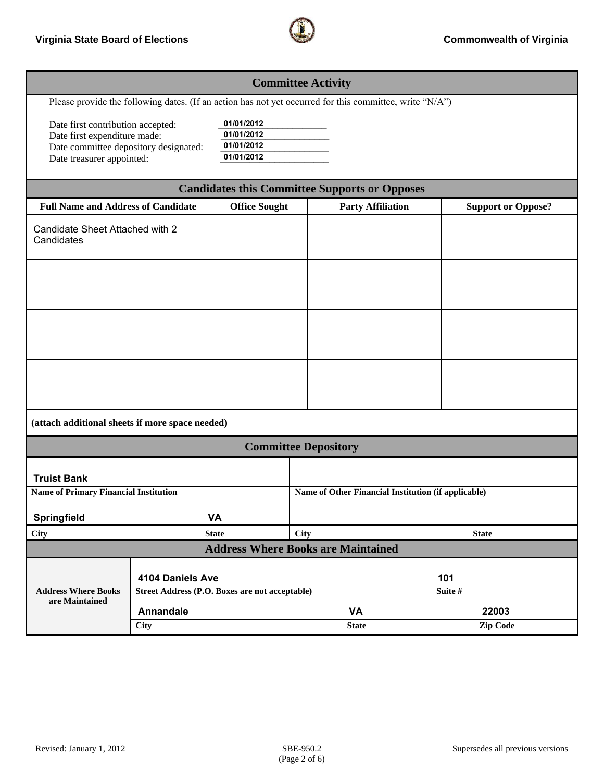

| <b>Committee Activity</b>                                                                                                               |                                                                    |                                                      |                                                     |                          |                           |  |  |
|-----------------------------------------------------------------------------------------------------------------------------------------|--------------------------------------------------------------------|------------------------------------------------------|-----------------------------------------------------|--------------------------|---------------------------|--|--|
| Please provide the following dates. (If an action has not yet occurred for this committee, write "N/A")                                 |                                                                    |                                                      |                                                     |                          |                           |  |  |
| Date first contribution accepted:<br>Date first expenditure made:<br>Date committee depository designated:<br>Date treasurer appointed: |                                                                    | 01/01/2012<br>01/01/2012<br>01/01/2012<br>01/01/2012 |                                                     |                          |                           |  |  |
| <b>Candidates this Committee Supports or Opposes</b>                                                                                    |                                                                    |                                                      |                                                     |                          |                           |  |  |
| <b>Full Name and Address of Candidate</b>                                                                                               |                                                                    | <b>Office Sought</b>                                 |                                                     | <b>Party Affiliation</b> | <b>Support or Oppose?</b> |  |  |
| Candidate Sheet Attached with 2<br>Candidates                                                                                           |                                                                    |                                                      |                                                     |                          |                           |  |  |
|                                                                                                                                         |                                                                    |                                                      |                                                     |                          |                           |  |  |
|                                                                                                                                         |                                                                    |                                                      |                                                     |                          |                           |  |  |
|                                                                                                                                         |                                                                    |                                                      |                                                     |                          |                           |  |  |
| (attach additional sheets if more space needed)                                                                                         |                                                                    |                                                      |                                                     |                          |                           |  |  |
| <b>Committee Depository</b>                                                                                                             |                                                                    |                                                      |                                                     |                          |                           |  |  |
| <b>Truist Bank</b>                                                                                                                      |                                                                    |                                                      |                                                     |                          |                           |  |  |
| <b>Name of Primary Financial Institution</b>                                                                                            |                                                                    |                                                      | Name of Other Financial Institution (if applicable) |                          |                           |  |  |
| Springfield                                                                                                                             |                                                                    | <b>VA</b>                                            |                                                     |                          |                           |  |  |
| <b>City</b>                                                                                                                             |                                                                    | <b>State</b>                                         | <b>City</b><br><b>State</b>                         |                          |                           |  |  |
| <b>Address Where Books are Maintained</b>                                                                                               |                                                                    |                                                      |                                                     |                          |                           |  |  |
| <b>Address Where Books</b>                                                                                                              | 4104 Daniels Ave<br>Street Address (P.O. Boxes are not acceptable) |                                                      | 101<br>Suite #                                      |                          |                           |  |  |
| are Maintained                                                                                                                          |                                                                    |                                                      |                                                     |                          |                           |  |  |
|                                                                                                                                         | Annandale<br><b>City</b>                                           |                                                      | <b>VA</b><br><b>State</b>                           |                          | 22003<br>Zip Code         |  |  |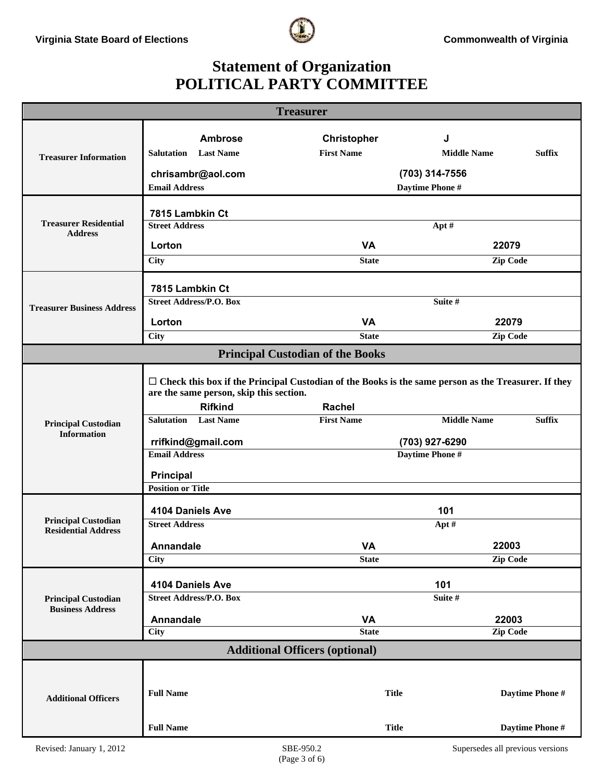

# **Statement of Organization POLITICAL PARTY COMMITTEE**

| <b>Treasurer</b>                                         |                                                                                                                                                                                                        |                                         |                                     |  |  |  |  |
|----------------------------------------------------------|--------------------------------------------------------------------------------------------------------------------------------------------------------------------------------------------------------|-----------------------------------------|-------------------------------------|--|--|--|--|
|                                                          | <b>Ambrose</b>                                                                                                                                                                                         |                                         | J                                   |  |  |  |  |
|                                                          | <b>Salutation</b> Last Name                                                                                                                                                                            | <b>Christopher</b><br><b>First Name</b> | <b>Middle Name</b><br><b>Suffix</b> |  |  |  |  |
| <b>Treasurer Information</b>                             |                                                                                                                                                                                                        |                                         |                                     |  |  |  |  |
|                                                          | chrisambr@aol.com<br><b>Email Address</b>                                                                                                                                                              | (703) 314-7556<br>Daytime Phone #       |                                     |  |  |  |  |
|                                                          |                                                                                                                                                                                                        |                                         |                                     |  |  |  |  |
| <b>Treasurer Residential</b>                             | 7815 Lambkin Ct                                                                                                                                                                                        |                                         |                                     |  |  |  |  |
| <b>Address</b>                                           | <b>Street Address</b>                                                                                                                                                                                  | Apt#                                    |                                     |  |  |  |  |
|                                                          | Lorton                                                                                                                                                                                                 | <b>VA</b><br>22079                      |                                     |  |  |  |  |
|                                                          | <b>City</b>                                                                                                                                                                                            | <b>State</b>                            | <b>Zip Code</b>                     |  |  |  |  |
|                                                          | 7815 Lambkin Ct                                                                                                                                                                                        |                                         |                                     |  |  |  |  |
| <b>Treasurer Business Address</b>                        | <b>Street Address/P.O. Box</b>                                                                                                                                                                         | Suite #                                 |                                     |  |  |  |  |
|                                                          | Lorton                                                                                                                                                                                                 | <b>VA</b>                               | 22079                               |  |  |  |  |
|                                                          | <b>City</b>                                                                                                                                                                                            | <b>State</b>                            | Zip Code                            |  |  |  |  |
|                                                          | <b>Principal Custodian of the Books</b>                                                                                                                                                                |                                         |                                     |  |  |  |  |
| <b>Principal Custodian</b>                               | $\Box$ Check this box if the Principal Custodian of the Books is the same person as the Treasurer. If they<br>are the same person, skip this section.<br><b>Rifkind</b><br><b>Salutation</b> Last Name | <b>Rachel</b><br><b>First Name</b>      | <b>Middle Name</b><br><b>Suffix</b> |  |  |  |  |
| <b>Information</b>                                       |                                                                                                                                                                                                        |                                         |                                     |  |  |  |  |
|                                                          | rrifkind@gmail.com<br><b>Email Address</b>                                                                                                                                                             | (703) 927-6290<br>Daytime Phone #       |                                     |  |  |  |  |
|                                                          | <b>Principal</b>                                                                                                                                                                                       |                                         |                                     |  |  |  |  |
|                                                          | <b>Position or Title</b>                                                                                                                                                                               |                                         |                                     |  |  |  |  |
|                                                          | 4104 Daniels Ave                                                                                                                                                                                       |                                         | 101                                 |  |  |  |  |
| <b>Principal Custodian</b><br><b>Residential Address</b> | <b>Street Address</b>                                                                                                                                                                                  | Apt#                                    |                                     |  |  |  |  |
|                                                          | <b>Annandale</b>                                                                                                                                                                                       | VA                                      | 22003                               |  |  |  |  |
|                                                          | <b>City</b>                                                                                                                                                                                            | <b>State</b>                            | Zip Code                            |  |  |  |  |
|                                                          |                                                                                                                                                                                                        |                                         |                                     |  |  |  |  |
| <b>Principal Custodian</b>                               | 4104 Daniels Ave<br><b>Street Address/P.O. Box</b>                                                                                                                                                     | 101<br>Suite #                          |                                     |  |  |  |  |
| <b>Business Address</b>                                  |                                                                                                                                                                                                        |                                         |                                     |  |  |  |  |
|                                                          | <b>Annandale</b><br>City                                                                                                                                                                               | <b>VA</b><br><b>State</b>               | 22003<br>Zip Code                   |  |  |  |  |
| <b>Additional Officers (optional)</b>                    |                                                                                                                                                                                                        |                                         |                                     |  |  |  |  |
|                                                          |                                                                                                                                                                                                        |                                         |                                     |  |  |  |  |
| <b>Additional Officers</b>                               | <b>Full Name</b>                                                                                                                                                                                       | <b>Title</b>                            | Daytime Phone #                     |  |  |  |  |
|                                                          | <b>Full Name</b>                                                                                                                                                                                       | <b>Title</b>                            | Daytime Phone #                     |  |  |  |  |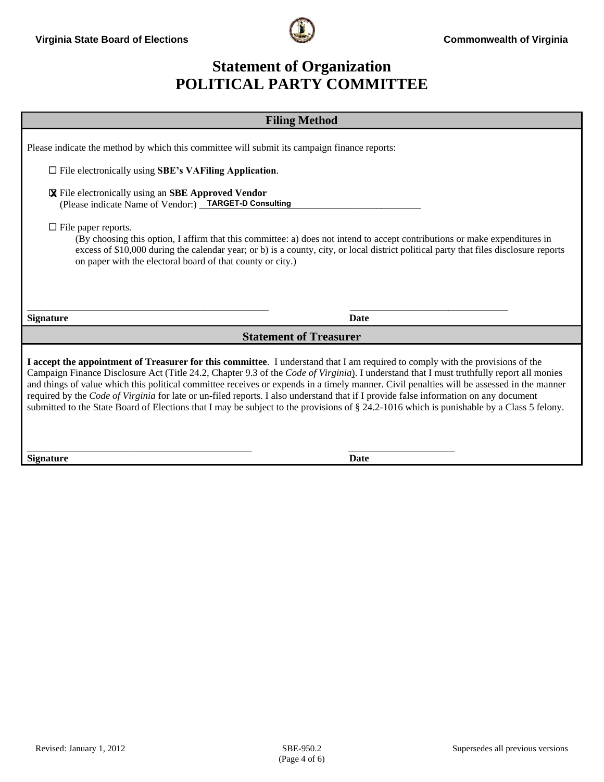

### **Statement of Organization POLITICAL PARTY COMMITTEE**

| <b>Filing Method</b>                                                                                                                                                                                                                                                                                                                                                                                                                                                                                                                                                                                                                                                                                         |  |  |  |  |
|--------------------------------------------------------------------------------------------------------------------------------------------------------------------------------------------------------------------------------------------------------------------------------------------------------------------------------------------------------------------------------------------------------------------------------------------------------------------------------------------------------------------------------------------------------------------------------------------------------------------------------------------------------------------------------------------------------------|--|--|--|--|
| Please indicate the method by which this committee will submit its campaign finance reports:<br>$\Box$ File electronically using SBE's VAFiling Application.<br><b>X</b> File electronically using an SBE Approved Vendor<br>(Please indicate Name of Vendor:) TARGET-D Consulting<br>$\Box$ File paper reports.<br>(By choosing this option, I affirm that this committee: a) does not intend to accept contributions or make expenditures in<br>excess of \$10,000 during the calendar year; or b) is a county, city, or local district political party that files disclosure reports<br>on paper with the electoral board of that county or city.)                                                        |  |  |  |  |
| <b>Signature</b><br><b>Date</b>                                                                                                                                                                                                                                                                                                                                                                                                                                                                                                                                                                                                                                                                              |  |  |  |  |
| <b>Statement of Treasurer</b>                                                                                                                                                                                                                                                                                                                                                                                                                                                                                                                                                                                                                                                                                |  |  |  |  |
| I accept the appointment of Treasurer for this committee. I understand that I am required to comply with the provisions of the<br>Campaign Finance Disclosure Act (Title 24.2, Chapter 9.3 of the Code of Virginia). I understand that I must truthfully report all monies<br>and things of value which this political committee receives or expends in a timely manner. Civil penalties will be assessed in the manner<br>required by the Code of Virginia for late or un-filed reports. I also understand that if I provide false information on any document<br>submitted to the State Board of Elections that I may be subject to the provisions of § 24.2-1016 which is punishable by a Class 5 felony. |  |  |  |  |

**Signature** Date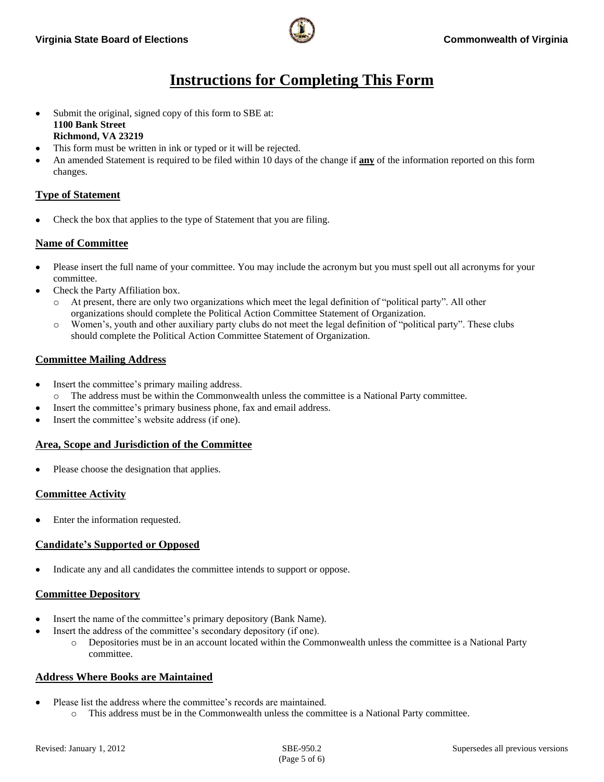# **Instructions for Completing This Form**

- Submit the original, signed copy of this form to SBE at: **1100 Bank Street Richmond, VA 23219**
- This form must be written in ink or typed or it will be rejected.
- An amended Statement is required to be filed within 10 days of the change if **any** of the information reported on this form changes.

### **Type of Statement**

Check the box that applies to the type of Statement that you are filing.

#### **Name of Committee**

- Please insert the full name of your committee. You may include the acronym but you must spell out all acronyms for your committee.
- Check the Party Affiliation box.
	- o At present, there are only two organizations which meet the legal definition of "political party". All other organizations should complete the Political Action Committee Statement of Organization.
	- o Women's, youth and other auxiliary party clubs do not meet the legal definition of "political party". These clubs should complete the Political Action Committee Statement of Organization.

#### **Committee Mailing Address**

- Insert the committee's primary mailing address.
	- o The address must be within the Commonwealth unless the committee is a National Party committee.
- Insert the committee's primary business phone, fax and email address.
- Insert the committee's website address (if one).

#### **Area, Scope and Jurisdiction of the Committee**

Please choose the designation that applies.

#### **Committee Activity**

Enter the information requested.

#### **Candidate's Supported or Opposed**

Indicate any and all candidates the committee intends to support or oppose.

#### **Committee Depository**

- Insert the name of the committee's primary depository (Bank Name).
	- Insert the address of the committee's secondary depository (if one).
		- o Depositories must be in an account located within the Commonwealth unless the committee is a National Party committee.

#### **Address Where Books are Maintained**

- Please list the address where the committee's records are maintained.
	- o This address must be in the Commonwealth unless the committee is a National Party committee.